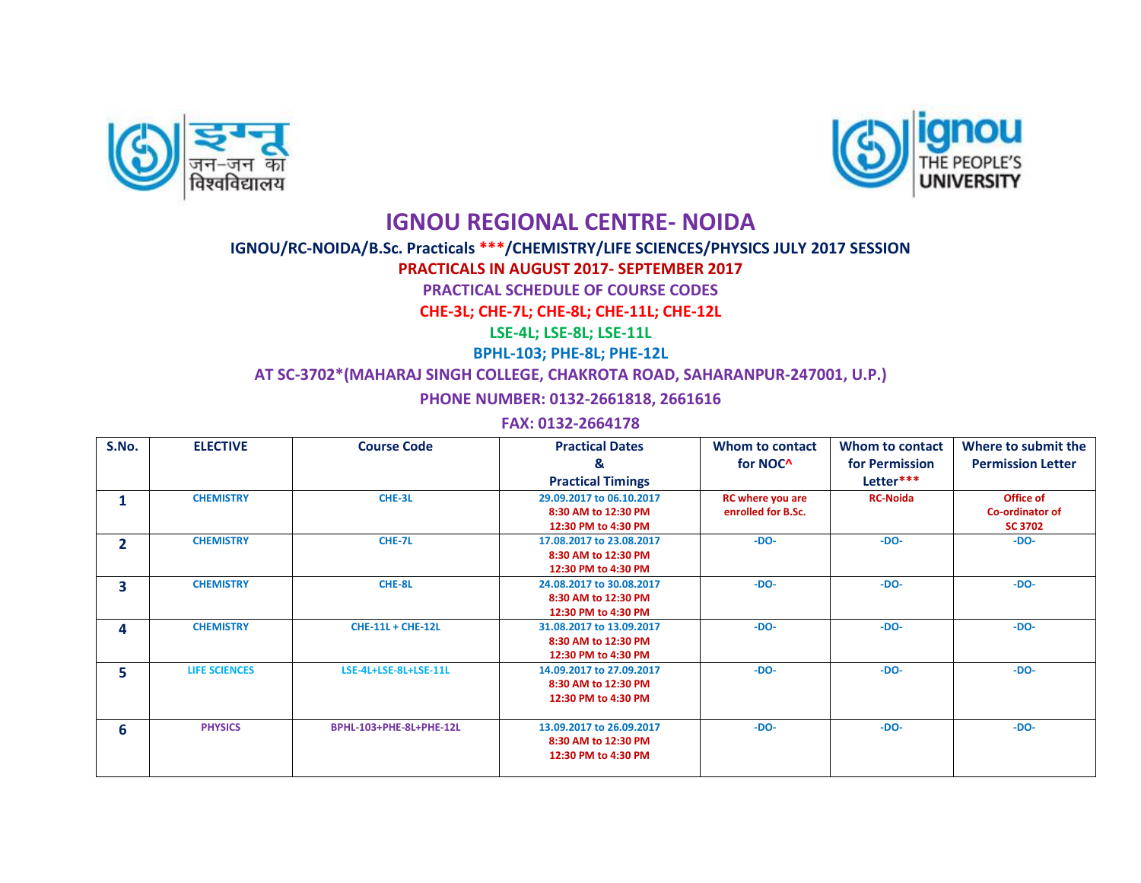



## **IGNOU REGIONAL CENTRE- NOIDA**

## **IGNOU/RC-NOIDA/B.Sc. Practicals \*\*\*/CHEMISTRY/LIFE SCIENCES/PHYSICS JULY 2017 SESSION**

**PRACTICALS IN AUGUST 2017- SEPTEMBER 2017**

**PRACTICAL SCHEDULE OF COURSE CODES**

**CHE-3L; CHE-7L; CHE-8L; CHE-11L; CHE-12L**

**LSE-4L; LSE-8L; LSE-11L**

**BPHL-103; PHE-8L; PHE-12L**

**AT SC-3702\*(MAHARAJ SINGH COLLEGE, CHAKROTA ROAD, SAHARANPUR-247001, U.P.)**

**PHONE NUMBER: 0132-2661818, 2661616**

**FAX: 0132-2664178**

| S.No.        | <b>ELECTIVE</b>      | <b>Course Code</b>       | <b>Practical Dates</b>                                                 | Whom to contact                               | Whom to contact | Where to submit the                            |
|--------------|----------------------|--------------------------|------------------------------------------------------------------------|-----------------------------------------------|-----------------|------------------------------------------------|
|              |                      |                          | &                                                                      | for NOC <sup>^</sup>                          | for Permission  | <b>Permission Letter</b>                       |
|              |                      |                          | <b>Practical Timings</b>                                               |                                               | Letter***       |                                                |
| 1            | <b>CHEMISTRY</b>     | CHE-3L                   | 29.09.2017 to 06.10.2017<br>8:30 AM to 12:30 PM<br>12:30 PM to 4:30 PM | <b>RC</b> where you are<br>enrolled for B.Sc. | <b>RC-Noida</b> | Office of<br>Co-ordinator of<br><b>SC 3702</b> |
| $\mathbf{2}$ | <b>CHEMISTRY</b>     | CHE-7L                   | 17.08.2017 to 23.08.2017<br>8:30 AM to 12:30 PM<br>12:30 PM to 4:30 PM | $-DO-$                                        | $-DO-$          | $-DO-$                                         |
| 3            | <b>CHEMISTRY</b>     | CHE-8L                   | 24.08.2017 to 30.08.2017<br>8:30 AM to 12:30 PM<br>12:30 PM to 4:30 PM | $-DO-$                                        | $-DO-$          | $-DO-$                                         |
| 4            | <b>CHEMISTRY</b>     | <b>CHE-11L + CHE-12L</b> | 31.08.2017 to 13.09.2017<br>8:30 AM to 12:30 PM<br>12:30 PM to 4:30 PM | $-DO-$                                        | $-DO-$          | $-DO-$                                         |
| 5.           | <b>LIFE SCIENCES</b> | LSE-4L+LSE-8L+LSE-11L    | 14.09.2017 to 27.09.2017<br>8:30 AM to 12:30 PM<br>12:30 PM to 4:30 PM | $-DO-$                                        | $-DO-$          | $-DO-$                                         |
| 6            | <b>PHYSICS</b>       | BPHL-103+PHE-8L+PHE-12L  | 13.09.2017 to 26.09.2017<br>8:30 AM to 12:30 PM<br>12:30 PM to 4:30 PM | $-DO-$                                        | $-DO-$          | $-DO-$                                         |